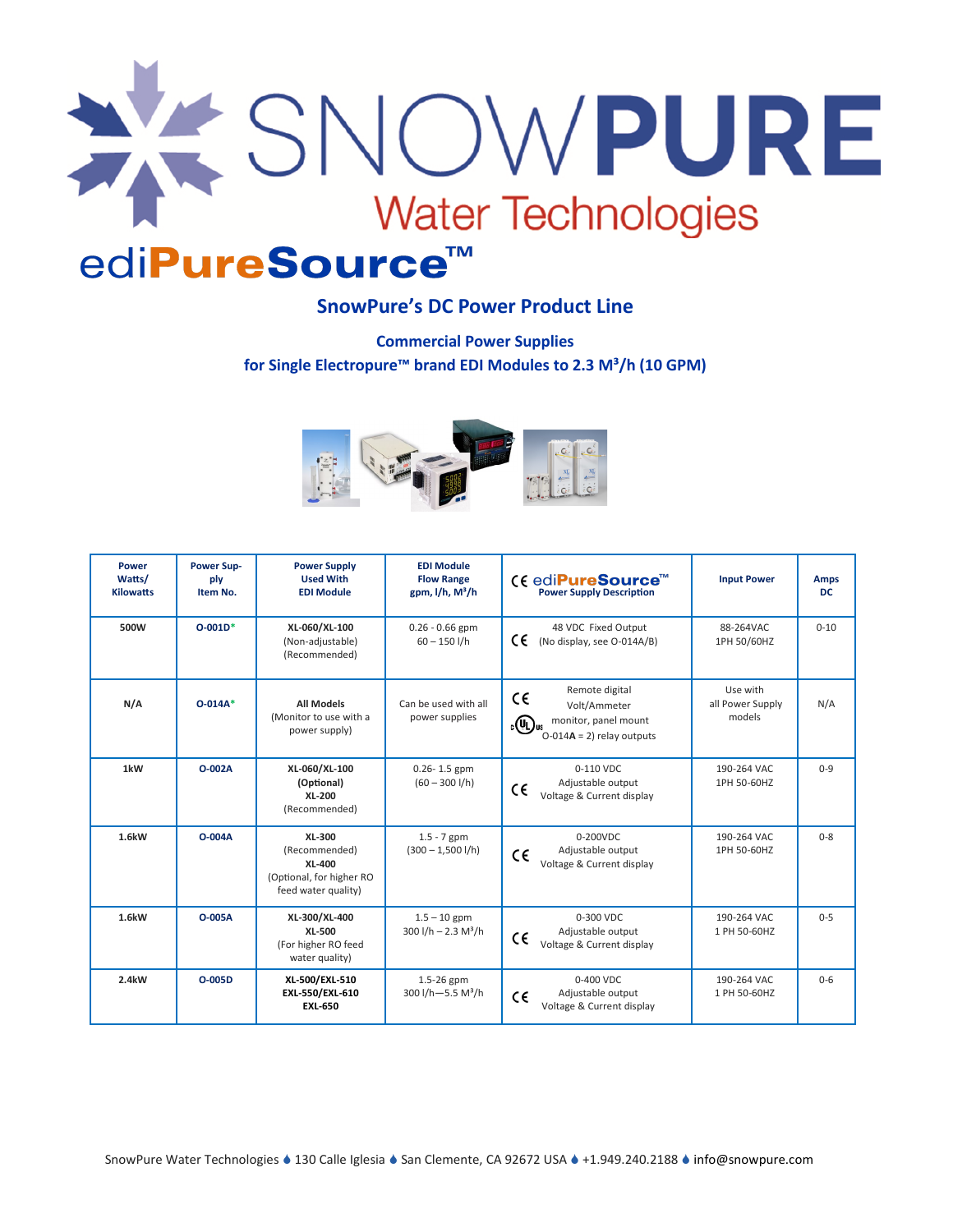

# ediPureSource™

# **SnowPure's DC Power Product Line**

**Commercial Power Supplies for Single Electropure™ brand EDI Modules to 2.3 M³/h (10 GPM)** 



| Power<br>Watts/<br><b>Kilowatts</b> | <b>Power Sup-</b><br>ply<br>Item No. | <b>Power Supply</b><br><b>Used With</b><br><b>EDI Module</b>                                | <b>EDI Module</b><br><b>Flow Range</b><br>gpm, $I/h$ , $M^3/h$ | C€ edi <b>PureSource</b> <sup>™</sup><br><b>Power Supply Description</b>                                                          | <b>Input Power</b>                     | <b>Amps</b><br><b>DC</b> |
|-------------------------------------|--------------------------------------|---------------------------------------------------------------------------------------------|----------------------------------------------------------------|-----------------------------------------------------------------------------------------------------------------------------------|----------------------------------------|--------------------------|
| 500W                                | $O-001D*$                            | XL-060/XL-100<br>(Non-adjustable)<br>(Recommended)                                          | $0.26 - 0.66$ gpm<br>$60 - 150$ I/h                            | 48 VDC Fixed Output<br>C€<br>(No display, see O-014A/B)                                                                           | 88-264VAC<br>1PH 50/60HZ               | $0 - 10$                 |
| N/A                                 | $O - 014A^*$                         | <b>All Models</b><br>(Monitor to use with a<br>power supply)                                | Can be used with all<br>power supplies                         | Remote digital<br>$C \in$<br>Volt/Ammeter<br>monitor, panel mount<br>$_{\rm c}$ (U) <sub>us</sub><br>$O-014A = 2$ ) relay outputs | Use with<br>all Power Supply<br>models | N/A                      |
| 1kW                                 | O-002A                               | XL-060/XL-100<br>(Optional)<br>XL-200<br>(Recommended)                                      | $0.26 - 1.5$ gpm<br>$(60 - 300$ I/h)                           | 0-110 VDC<br>Adjustable output<br>C€<br>Voltage & Current display                                                                 | 190-264 VAC<br>1PH 50-60HZ             | $0 - 9$                  |
| 1.6kW                               | $O-004A$                             | XL-300<br>(Recommended)<br><b>XL-400</b><br>(Optional, for higher RO<br>feed water quality) | $1.5 - 7$ gpm<br>$(300 - 1,500$ l/h)                           | $0-200VDC$<br>Adjustable output<br>CE<br>Voltage & Current display                                                                | 190-264 VAC<br>1PH 50-60HZ             | $0 - 8$                  |
| 1.6kW                               | O-005A                               | XL-300/XL-400<br>XL-500<br>(For higher RO feed<br>water quality)                            | $1.5 - 10$ gpm<br>$300$ I/h $- 2.3$ M <sup>3</sup> /h          | 0-300 VDC<br>Adjustable output<br>CE<br>Voltage & Current display                                                                 | 190-264 VAC<br>1 PH 50-60HZ            | $0 - 5$                  |
| 2.4kW                               | O-005D                               | XL-500/EXL-510<br>EXL-550/EXL-610<br><b>EXL-650</b>                                         | 1.5-26 gpm<br>300 l/h $-5.5$ M <sup>3</sup> /h                 | $0-400$ VDC<br>Adjustable output<br>CE<br>Voltage & Current display                                                               | 190-264 VAC<br>1 PH 50-60HZ            | $0 - 6$                  |